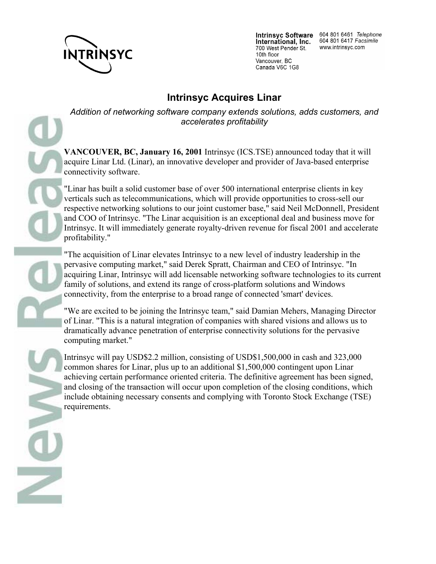

 $\overline{\phantom{a}}$ 

International, Inc. 700 West Pender St. 10th floor Vancouver, BC Canada V6C 1G8

Intrinsyc Software 604 801 6461 Telephone 604 801 6417 Facsimile www.intrinsyc.com

## **Intrinsyc Acquires Linar**

*Addition of networking software company extends solutions, adds customers, and accelerates profitability* 

**VANCOUVER, BC, January 16, 2001** Intrinsyc (ICS.TSE) announced today that it will acquire Linar Ltd. (Linar), an innovative developer and provider of Java-based enterprise connectivity software.

"Linar has built a solid customer base of over 500 international enterprise clients in key verticals such as telecommunications, which will provide opportunities to cross-sell our respective networking solutions to our joint customer base," said Neil McDonnell, President and COO of Intrinsyc. "The Linar acquisition is an exceptional deal and business move for Intrinsyc. It will immediately generate royalty-driven revenue for fiscal 2001 and accelerate profitability."

"The acquisition of Linar elevates Intrinsyc to a new level of industry leadership in the pervasive computing market," said Derek Spratt, Chairman and CEO of Intrinsyc. "In acquiring Linar, Intrinsyc will add licensable networking software technologies to its current family of solutions, and extend its range of cross-platform solutions and Windows connectivity, from the enterprise to a broad range of connected 'smart' devices.

"We are excited to be joining the Intrinsyc team," said Damian Mehers, Managing Director of Linar. "This is a natural integration of companies with shared visions and allows us to dramatically advance penetration of enterprise connectivity solutions for the pervasive computing market."

Intrinsyc will pay USD\$2.2 million, consisting of USD\$1,500,000 in cash and 323,000 common shares for Linar, plus up to an additional \$1,500,000 contingent upon Linar achieving certain performance oriented criteria. The definitive agreement has been signed, and closing of the transaction will occur upon completion of the closing conditions, which include obtaining necessary consents and complying with Toronto Stock Exchange (TSE) requirements.